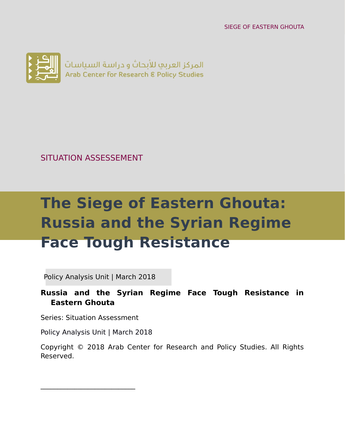SIEGE OF EASTERN GHOUTA



SITUATION ASSESSEMENT

# **The Siege of Eastern Ghouta: Russia and the Syrian Regime Face Tough Resistance**

Policy Analysis Unit | March 2018

**Russia and the Syrian Regime Face Tough Resistance in Eastern Ghouta**

Series: Situation Assessment

 $\mathcal{L}_\text{max}$  , where  $\mathcal{L}_\text{max}$  is the set of  $\mathcal{L}_\text{max}$ 

Policy Analysis Unit | March 2018

Copyright © 2018 Arab Center for Research and Policy Studies. All Rights Reserved.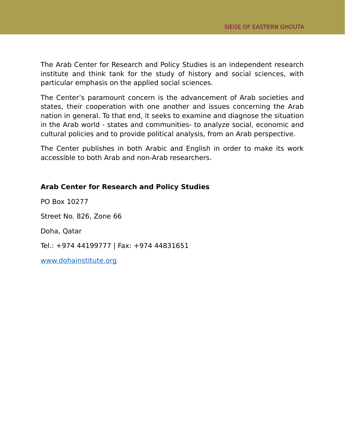The Arab Center for Research and Policy Studies is an independent research institute and think tank for the study of history and social sciences, with particular emphasis on the applied social sciences.

The Center's paramount concern is the advancement of Arab societies and states, their cooperation with one another and issues concerning the Arab nation in general. To that end, it seeks to examine and diagnose the situation in the Arab world - states and communities- to analyze social, economic and cultural policies and to provide political analysis, from an Arab perspective.

The Center publishes in both Arabic and English in order to make its work accessible to both Arab and non-Arab researchers.

#### **Arab Center for Research and Policy Studies**

PO Box 10277 Street No. 826, Zone 66 Doha, Qatar Tel.: +974 44199777 | Fax: +974 44831651 [www.dohainstitute.org](file:///C:%5CUsers%5Cdena.qaddumi%5CDesktop%5Cwww.dohainstitute.org)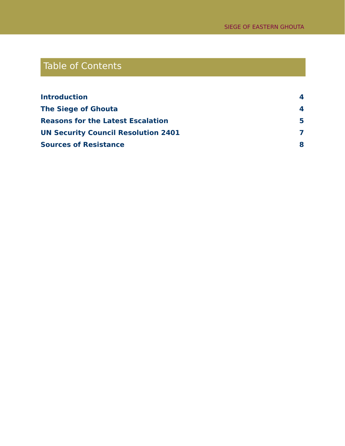## Table of Contents

| <b>Introduction</b>                        | 4 |
|--------------------------------------------|---|
| <b>The Siege of Ghouta</b>                 | 4 |
| <b>Reasons for the Latest Escalation</b>   | 5 |
| <b>UN Security Council Resolution 2401</b> |   |
| <b>Sources of Resistance</b>               | 8 |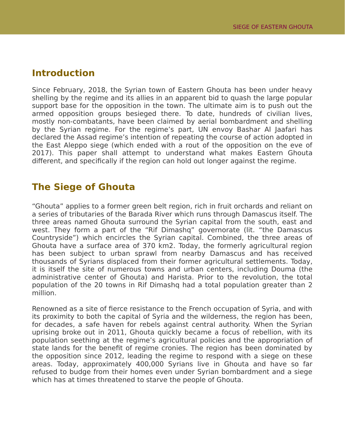#### <span id="page-3-0"></span>**Introduction**

Since February, 2018, the Syrian town of Eastern Ghouta has been under heavy shelling by the regime and its allies in an apparent bid to quash the large popular support base for the opposition in the town. The ultimate aim is to push out the armed opposition groups besieged there. To date, hundreds of civilian lives, mostly non-combatants, have been claimed by aerial bombardment and shelling by the Syrian regime. For the regime's part, UN envoy Bashar Al Jaafari has declared the Assad regime's intention of repeating the course of action adopted in the East Aleppo siege (which ended with a rout of the opposition on the eve of 2017). This paper shall attempt to understand what makes Eastern Ghouta different, and specifically if the region can hold out longer against the regime.

#### <span id="page-3-1"></span>**The Siege of Ghouta**

"Ghouta" applies to a former green belt region, rich in fruit orchards and reliant on a series of tributaries of the Barada River which runs through Damascus itself. The three areas named Ghouta surround the Syrian capital from the south, east and west. They form a part of the "Rif Dimashq" governorate (lit. "the Damascus Countryside") which encircles the Syrian capital. Combined, the three areas of Ghouta have a surface area of 370 km2. Today, the formerly agricultural region has been subject to urban sprawl from nearby Damascus and has received thousands of Syrians displaced from their former agricultural settlements. Today, it is itself the site of numerous towns and urban centers, including Douma (the administrative center of Ghouta) and Harista. Prior to the revolution, the total population of the 20 towns in Rif Dimashq had a total population greater than 2 million.

Renowned as a site of fierce resistance to the French occupation of Syria, and with its proximity to both the capital of Syria and the wilderness, the region has been, for decades, a safe haven for rebels against central authority. When the Syrian uprising broke out in 2011, Ghouta quickly became a focus of rebellion, with its population seething at the regime's agricultural policies and the appropriation of state lands for the benefit of regime cronies. The region has been dominated by the opposition since 2012, leading the regime to respond with a siege on these areas. Today, approximately 400,000 Syrians live in Ghouta and have so far refused to budge from their homes even under Syrian bombardment and a siege which has at times threatened to starve the people of Ghouta.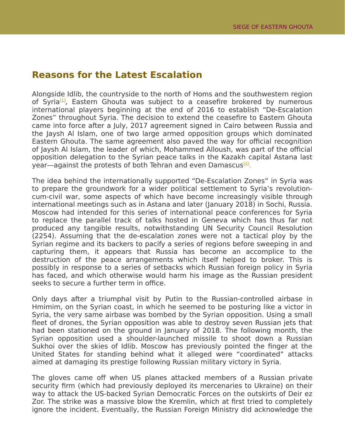#### <span id="page-4-0"></span>**Reasons for the Latest Escalation**

Alongside Idlib, the countryside to the north of Homs and the southwestern region of Syria<sup>[\[1\]](https://www.dohainstitute.org/en/PoliticalStudies/Pages/The-Battale-of-Ghouta.aspx#_ftn1)</sup>, Eastern Ghouta was subject to a ceasefire brokered by numerous international players beginning at the end of 2016 to establish "De-Escalation Zones" throughout Syria. The decision to extend the ceasefire to Eastern Ghouta came into force after a July, 2017 agreement signed in Cairo between Russia and the Jaysh Al Islam, one of two large armed opposition groups which dominated Eastern Ghouta. The same agreement also paved the way for official recognition of Jaysh Al Islam, the leader of which, Mohammed Alloush, was part of the official opposition delegation to the Syrian peace talks in the Kazakh capital Astana last year—against the protests of both Tehran and even Damascus<sup>[\[2\]](https://www.dohainstitute.org/en/PoliticalStudies/Pages/The-Battale-of-Ghouta.aspx#_ftn2)</sup>.

The idea behind the internationally supported "De-Escalation Zones" in Syria was to prepare the groundwork for a wider political settlement to Syria's revolutioncum-civil war, some aspects of which have become increasingly visible through international meetings such as in Astana and later (January 2018) in Sochi, Russia. Moscow had intended for this series of international peace conferences for Syria to replace the parallel track of talks hosted in Geneva which has thus far not produced any tangible results, notwithstanding UN Security Council Resolution (2254). Assuming that the de-escalation zones were not a tactical ploy by the Syrian regime and its backers to pacify a series of regions before sweeping in and capturing them, it appears that Russia has become an accomplice to the destruction of the peace arrangements which itself helped to broker. This is possibly in response to a series of setbacks which Russian foreign policy in Syria has faced, and which otherwise would harm his image as the Russian president seeks to secure a further term in office.

Only days after a triumphal visit by Putin to the Russian-controlled airbase in Hmimim, on the Syrian coast, in which he seemed to be posturing like a victor in Syria, the very same airbase was bombed by the Syrian opposition. Using a small fleet of drones, the Syrian opposition was able to destroy seven Russian jets that had been stationed on the ground in January of 2018. The following month, the Syrian opposition used a shoulder-launched missile to shoot down a Russian Sukhoi over the skies of Idlib. Moscow has previously pointed the finger at the United States for standing behind what it alleged were "coordinated" attacks aimed at damaging its prestige following Russian military victory in Syria.

The gloves came off when US planes attacked members of a Russian private security firm (which had previously deployed its mercenaries to Ukraine) on their way to attack the US-backed Syrian Democratic Forces on the outskirts of Deir ez Zor. The strike was a massive blow the Kremlin, which at first tried to completely ignore the incident. Eventually, the Russian Foreign Ministry did acknowledge the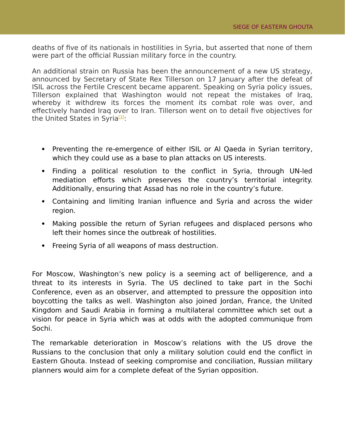deaths of five of its nationals in hostilities in Syria, but asserted that none of them were part of the official Russian military force in the country.

An additional strain on Russia has been the announcement of a new US strategy, announced by Secretary of State Rex Tillerson on 17 January after the defeat of ISIL across the Fertile Crescent became apparent. Speaking on Syria policy issues, Tillerson explained that Washington would not repeat the mistakes of Iraq, whereby it withdrew its forces the moment its combat role was over, and effectively handed Iraq over to Iran. Tillerson went on to detail five objectives for the United States in Syria<sup>[\[3\]](https://www.dohainstitute.org/en/PoliticalStudies/Pages/The-Battale-of-Ghouta.aspx#_ftn3)</sup>:

- Preventing the re-emergence of either ISIL or AI Qaeda in Syrian territory, which they could use as a base to plan attacks on US interests.
- Finding a political resolution to the conflict in Syria, through UN-led mediation efforts which preserves the country's territorial integrity. Additionally, ensuring that Assad has no role in the country's future.
- Containing and limiting Iranian influence and Syria and across the wider region.
- Making possible the return of Syrian refugees and displaced persons who left their homes since the outbreak of hostilities.
- Freeing Syria of all weapons of mass destruction.

For Moscow, Washington's new policy is a seeming act of belligerence, and a threat to its interests in Syria. The US declined to take part in the Sochi Conference, even as an observer, and attempted to pressure the opposition into boycotting the talks as well. Washington also joined Jordan, France, the United Kingdom and Saudi Arabia in forming a multilateral committee which set out a vision for peace in Syria which was at odds with the adopted communique from Sochi.

The remarkable deterioration in Moscow's relations with the US drove the Russians to the conclusion that only a military solution could end the conflict in Eastern Ghouta. Instead of seeking compromise and conciliation, Russian military planners would aim for a complete defeat of the Syrian opposition.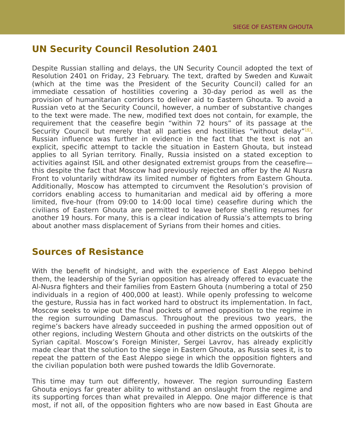### <span id="page-6-1"></span>**UN Security Council Resolution 2401**

Despite Russian stalling and delays, the UN Security Council adopted the text of Resolution 2401 on Friday, 23 February. The text, drafted by Sweden and Kuwait (which at the time was the President of the Security Council) called for an immediate cessation of hostilities covering a 30-day period as well as the provision of humanitarian corridors to deliver aid to Eastern Ghouta. To avoid a Russian veto at the Security Council, however, a number of substantive changes to the text were made. The new, modified text does not contain, for example, the requirement that the ceasefire begin "within 72 hours" of its passage at the Security Council but merely that all parties end hostilities "without delay"<sup>[\[4\]](https://www.dohainstitute.org/en/PoliticalStudies/Pages/The-Battale-of-Ghouta.aspx#_ftn4)</sup>. Russian influence was further in evidence in the fact that the text is not an explicit, specific attempt to tackle the situation in Eastern Ghouta, but instead applies to all Syrian territory. Finally, Russia insisted on a stated exception to activities against ISIL and other designated extremist groups from the ceasefire this despite the fact that Moscow had previously rejected an offer by the Al Nusra Front to voluntarily withdraw its limited number of fighters from Eastern Ghouta. Additionally, Moscow has attempted to circumvent the Resolution's provision of corridors enabling access to humanitarian and medical aid by offering a more limited, five-hour (from 09:00 to 14:00 local time) ceasefire during which the civilians of Eastern Ghouta are permitted to leave before shelling resumes for another 19 hours. For many, this is a clear indication of Russia's attempts to bring about another mass displacement of Syrians from their homes and cities.

#### <span id="page-6-0"></span>**Sources of Resistance**

With the benefit of hindsight, and with the experience of East Aleppo behind them, the leadership of the Syrian opposition has already offered to evacuate the Al-Nusra fighters and their families from Eastern Ghouta (numbering a total of 250 individuals in a region of 400,000 at least). While openly professing to welcome the gesture, Russia has in fact worked hard to obstruct its implementation. In fact, Moscow seeks to wipe out the final pockets of armed opposition to the regime in the region surrounding Damascus. Throughout the previous two years, the regime's backers have already succeeded in pushing the armed opposition out of other regions, including Western Ghouta and other districts on the outskirts of the Syrian capital. Moscow's Foreign Minister, Sergei Lavrov, has already explicitly made clear that the solution to the siege in Eastern Ghouta, as Russia sees it, is to repeat the pattern of the East Aleppo siege in which the opposition fighters and the civilian population both were pushed towards the Idlib Governorate.

This time may turn out differently, however. The region surrounding Eastern Ghouta enjoys far greater ability to withstand an onslaught from the regime and its supporting forces than what prevailed in Aleppo. One major difference is that most, if not all, of the opposition fighters who are now based in East Ghouta are